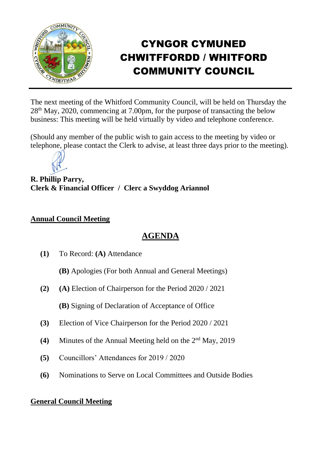

# CYNGOR CYMUNED CHWITFFORDD / WHITFORD COMMUNITY COUNCIL

The next meeting of the Whitford Community Council, will be held on Thursday the 28th May, 2020, commencing at 7.00pm, for the purpose of transacting the below business: This meeting will be held virtually by video and telephone conference.

(Should any member of the public wish to gain access to the meeting by video or telephone, please contact the Clerk to advise, at least three days prior to the meeting).



**R. Phillip Parry, Clerk & Financial Officer / Clerc a Swyddog Ariannol**

#### **Annual Council Meeting**

# **AGENDA**

- **(1)** To Record: **(A)** Attendance
	- **(B)** Apologies (For both Annual and General Meetings)
- **(2) (A)** Election of Chairperson for the Period 2020 / 2021

**(B)** Signing of Declaration of Acceptance of Office

- **(3)** Election of Vice Chairperson for the Period 2020 / 2021
- (4) Minutes of the Annual Meeting held on the 2<sup>nd</sup> May, 2019
- **(5)** Councillors' Attendances for 2019 / 2020
- **(6)** Nominations to Serve on Local Committees and Outside Bodies

### **General Council Meeting**